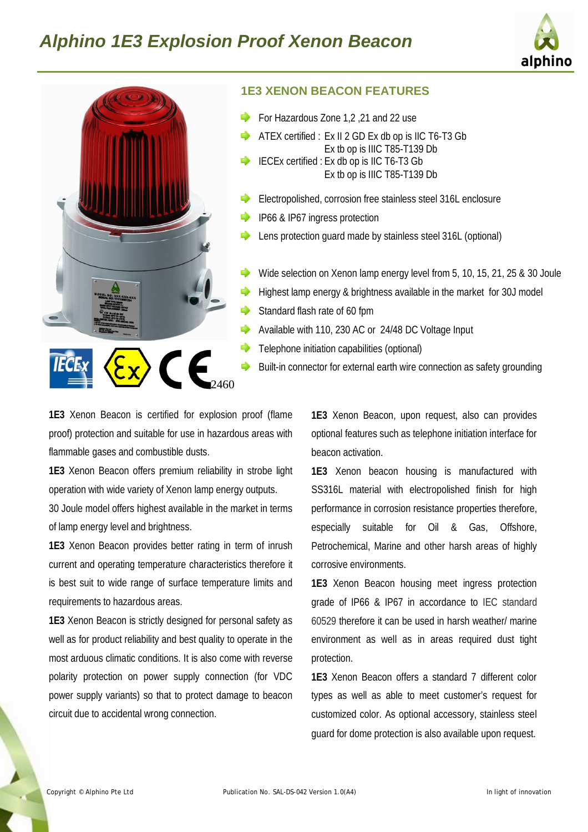



#### **1E3 XENON BEACON FEATURES**

- For Hazardous Zone 1,2 ,21 and 22 use
- ATEX certified : Ex II 2 GD Ex db op is IIC T6-T3 Gb Ex tb op is IIIC T85-T139 Db
- IECEx certified : Ex db op is IIC T6-T3 Gb Ex tb op is IIIC T85-T139 Db
- Electropolished, corrosion free stainless steel 316L enclosure
- IP66 & IP67 ingress protection
- Lens protection guard made by stainless steel 316L (optional)
- Wide selection on Xenon lamp energy level from 5, 10, 15, 21, 25 & 30 Joule
- Highest lamp energy & brightness available in the market for 30J model
- Standard flash rate of 60 fpm
- Available with 110, 230 AC or 24/48 DC Voltage Input
- Telephone initiation capabilities (optional)
- Built-in connector for external earth wire connection as safety grounding

**1E3** Xenon Beacon is certified for explosion proof (flame proof) protection and suitable for use in hazardous areas with flammable gases and combustible dusts.

2460

**1E3** Xenon Beacon offers premium reliability in strobe light operation with wide variety of Xenon lamp energy outputs.

30 Joule model offers highest available in the market in terms of lamp energy level and brightness.

**1E3** Xenon Beacon provides better rating in term of inrush current and operating temperature characteristics therefore it is best suit to wide range of surface temperature limits and requirements to hazardous areas.

**1E3** Xenon Beacon is strictly designed for personal safety as well as for product reliability and best quality to operate in the most arduous climatic conditions. It is also come with reverse polarity protection on power supply connection (for VDC power supply variants) so that to protect damage to beacon circuit due to accidental wrong connection.

**1E3** Xenon Beacon, upon request, also can provides optional features such as telephone initiation interface for beacon activation.

**1E3** Xenon beacon housing is manufactured with SS316L material with electropolished finish for high performance in corrosion resistance properties therefore, especially suitable for Oil & Gas, Offshore, Petrochemical, Marine and other harsh areas of highly corrosive environments.

**1E3** Xenon Beacon housing meet ingress protection grade of IP66 & IP67 in accordance to IEC standard 60529 therefore it can be used in harsh weather/ marine environment as well as in areas required dust tight protection.

**1E3** Xenon Beacon offers a standard 7 different color types as well as able to meet customer's request for customized color. As optional accessory, stainless steel guard for dome protection is also available upon request.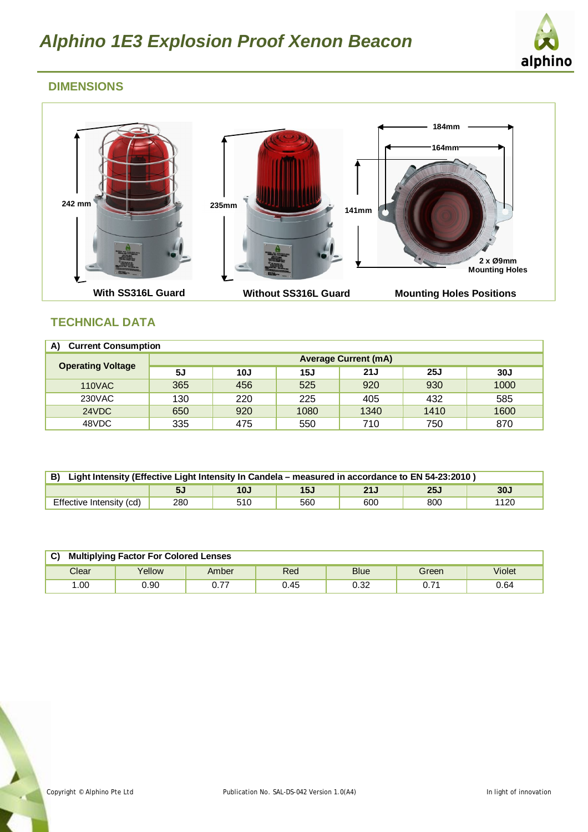

# **DIMENSIONS**



# **TECHNICAL DATA**

| A)<br><b>Current Consumption</b> |                             |     |      |      |      |      |
|----------------------------------|-----------------------------|-----|------|------|------|------|
| <b>Operating Voltage</b>         | <b>Average Current (mA)</b> |     |      |      |      |      |
|                                  | 5J                          | 10J | 15J  | 21J  | 25J  | 30J  |
| <b>110VAC</b>                    | 365                         | 456 | 525  | 920  | 930  | 1000 |
| 230VAC                           | 130                         | 220 | 225  | 405  | 432  | 585  |
| 24VDC                            | 650                         | 920 | 1080 | 1340 | 1410 | 1600 |
| 48VDC                            | 335                         | 475 | 550  | 710  | 750  | 870  |

| B) Light Intensity (Effective Light Intensity In Candela – measured in accordance to EN 54-23:2010) |     |     |     |     |      |      |
|-----------------------------------------------------------------------------------------------------|-----|-----|-----|-----|------|------|
|                                                                                                     | 5J  | 10J | 15J | 21J | 25.I | 30J  |
| Effective Intensity (cd)                                                                            | 280 | 510 | 560 | 600 | 800  | 1120 |

| C)<br><b>Multiplying Factor For Colored Lenses</b> |        |              |      |             |       |        |
|----------------------------------------------------|--------|--------------|------|-------------|-------|--------|
| Clear                                              | Yellow | Amber        | Red  | <b>Blue</b> | Green | Violet |
| .00                                                | 90.(   | -77<br>U. 77 | 0.45 | 0.32        | 0.71  | 0.64   |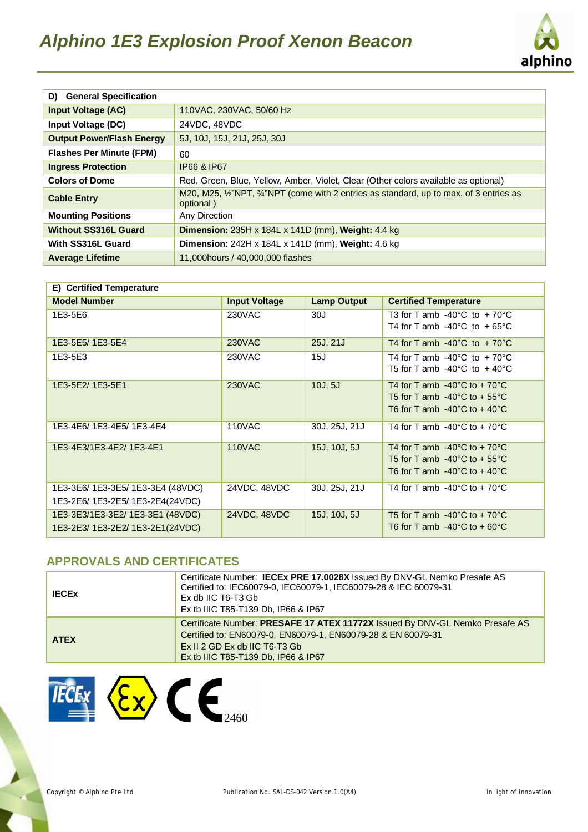

| D) General Specification         |                                                                                                  |  |  |
|----------------------------------|--------------------------------------------------------------------------------------------------|--|--|
| <b>Input Voltage (AC)</b>        | 110VAC, 230VAC, 50/60 Hz                                                                         |  |  |
| Input Voltage (DC)               | 24VDC, 48VDC                                                                                     |  |  |
| <b>Output Power/Flash Energy</b> | 5J, 10J, 15J, 21J, 25J, 30J                                                                      |  |  |
| <b>Flashes Per Minute (FPM)</b>  | 60                                                                                               |  |  |
| <b>Ingress Protection</b>        | IP66 & IP67                                                                                      |  |  |
| <b>Colors of Dome</b>            | Red, Green, Blue, Yellow, Amber, Violet, Clear (Other colors available as optional)              |  |  |
| <b>Cable Entry</b>               | M20, M25, ½"NPT, ¼"NPT (come with 2 entries as standard, up to max. of 3 entries as<br>optional) |  |  |
| <b>Mounting Positions</b>        | Any Direction                                                                                    |  |  |
| <b>Without SS316L Guard</b>      | Dimension: 235H x 184L x 141D (mm), Weight: 4.4 kg                                               |  |  |
| With SS316L Guard                | <b>Dimension:</b> 242H x 184L x 141D (mm), <b>Weight:</b> 4.6 kg                                 |  |  |
| <b>Average Lifetime</b>          | 11,000 hours / 40,000,000 flashes                                                                |  |  |

| E) Certified Temperature          |                      |                    |                                                 |  |
|-----------------------------------|----------------------|--------------------|-------------------------------------------------|--|
| <b>Model Number</b>               | <b>Input Voltage</b> | <b>Lamp Output</b> | <b>Certified Temperature</b>                    |  |
| 1E3-5E6                           | 230VAC               | 30J                | T3 for T amb $-40^{\circ}$ C to $+70^{\circ}$ C |  |
|                                   |                      |                    | T4 for T amb $-40^{\circ}$ C to $+65^{\circ}$ C |  |
| 1E3-5E5/1E3-5E4                   | <b>230VAC</b>        | 25J, 21J           | T4 for T amb $-40^{\circ}$ C to $+70^{\circ}$ C |  |
| 1E3-5E3                           | 230VAC               | 15J                | T4 for T amb $-40^{\circ}$ C to $+70^{\circ}$ C |  |
|                                   |                      |                    | T5 for T amb $-40^{\circ}$ C to $+40^{\circ}$ C |  |
| 1E3-5E2/1E3-5E1                   | 230VAC               | 10J, 5J            | T4 for T amb $-40^{\circ}$ C to $+70^{\circ}$ C |  |
|                                   |                      |                    | T5 for T amb $-40^{\circ}$ C to $+55^{\circ}$ C |  |
|                                   |                      |                    | T6 for T amb $-40^{\circ}$ C to $+40^{\circ}$ C |  |
| 1E3-4E6/1E3-4E5/1E3-4E4           | <b>110VAC</b>        | 30J, 25J, 21J      | T4 for T amb $-40^{\circ}$ C to $+70^{\circ}$ C |  |
| 1E3-4E3/1E3-4E2/1E3-4E1           | <b>110VAC</b>        | 15J, 10J, 5J       | T4 for T amb $-40^{\circ}$ C to $+70^{\circ}$ C |  |
|                                   |                      |                    | T5 for T amb $-40^{\circ}$ C to $+55^{\circ}$ C |  |
|                                   |                      |                    | T6 for T amb $-40^{\circ}$ C to $+40^{\circ}$ C |  |
| 1E3-3E6/ 1E3-3E5/ 1E3-3E4 (48VDC) | 24VDC, 48VDC         | 30J, 25J, 21J      | T4 for T amb $-40^{\circ}$ C to $+70^{\circ}$ C |  |
| 1E3-2E6/ 1E3-2E5/ 1E3-2E4(24VDC)  |                      |                    |                                                 |  |
| 1E3-3E3/1E3-3E2/1E3-3E1 (48VDC)   | 24VDC, 48VDC         | 15J, 10J, 5J       | T5 for T amb $-40^{\circ}$ C to $+70^{\circ}$ C |  |
| 1E3-2E3/ 1E3-2E2/ 1E3-2E1(24VDC)  |                      |                    | T6 for T amb $-40^{\circ}$ C to $+60^{\circ}$ C |  |

# **APPROVALS AND CERTIFICATES**

| <b>IECEX</b> | Certificate Number: IECEx PRE 17.0028X Issued By DNV-GL Nemko Presafe AS<br>Certified to: IEC60079-0, IEC60079-1, IEC60079-28 & IEC 60079-31<br>Ex db IIC T6-T3 Gb<br>Ex tb IIIC T85-T139 Db, IP66 & IP67              |
|--------------|------------------------------------------------------------------------------------------------------------------------------------------------------------------------------------------------------------------------|
| <b>ATEX</b>  | Certificate Number: PRESAFE 17 ATEX 11772X Issued By DNV-GL Nemko Presafe AS<br>Certified to: EN60079-0, EN60079-1, EN60079-28 & EN 60079-31<br>$Ex II 2 GD Ex db IIC T6-T3 Gb$<br>Ex tb IIIC T85-T139 Db, IP66 & IP67 |